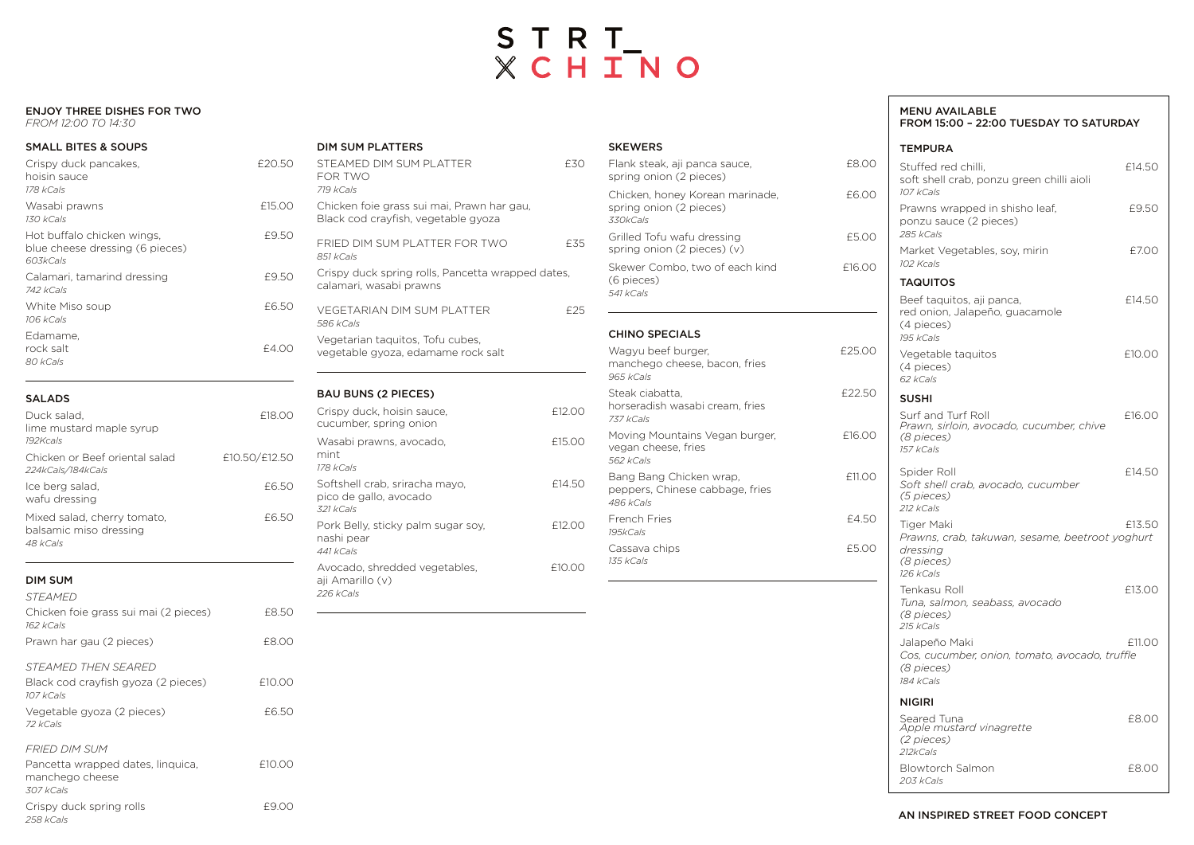### AN INSPIRED STREET FOOD CONCEPT

### MENU AVAILABLE FROM 15:00 – 22:00 TUESDAY TO SATURDAY

## TEMPURA

| Stuffed red chilli,<br>soft shell crab, ponzu green chilli aioli<br>107 kCals                        | £14.50 |
|------------------------------------------------------------------------------------------------------|--------|
| Prawns wrapped in shisho leaf,<br>ponzu sauce (2 pieces)<br>285 kCals                                | £9.50  |
| Market Vegetables, soy, mirin<br>102 Kcals                                                           | £7.00  |
| <b>TAQUITOS</b>                                                                                      |        |
| Beef taquitos, aji panca,<br>red onion, Jalapeño, guacamole<br>(4 pieces)<br>195 kCals               | £14.50 |
| Vegetable taquitos<br>(4 pieces)<br>62 kCals                                                         | £10.00 |
| <b>SUSHI</b>                                                                                         |        |
| Surf and Turf Roll<br>Prawn, sirloin, avocado, cucumber, chive<br>(8 pieces)<br>157 kCals            | £16.00 |
| Spider Roll<br>Soft shell crab, avocado, cucumber<br>(5 pieces)<br>212 kCals                         | £14.50 |
| Tiger Maki<br>Prawns, crab, takuwan, sesame, beetroot yoghurt<br>dressing<br>(8 pieces)<br>126 kCals | £13.50 |
| Tenkasu Roll<br>Tuna, salmon, seabass, avocado<br>(8 pieces)<br>215 kCals                            | £13.00 |
| Jalapeño Maki<br>Cos, cucumber, onion, tomato, avocado, truffle<br>(8 pieces)<br>184 kCals           | £11.00 |
| <b>NIGIRI</b>                                                                                        |        |
| Seared Tuna<br>Apple mustard vinagrette<br>(2 pieces)<br>212kCals                                    | £8.00  |
| <b>Blowtorch Salmon</b><br>203 kCals                                                                 | £8.00  |

# STRT\_<br>XCHINO

#### ENJOY THREE DISHES FOR TWO

*FROM 12:00 TO 14:30*

| <b>SMALL BITES &amp; SOUPS</b>                                             |        |
|----------------------------------------------------------------------------|--------|
| Crispy duck pancakes,<br>hoisin sauce<br>178 kCals                         | £20.50 |
| Wasabi prawns<br>130 kCals                                                 | £15.00 |
| Hot buffalo chicken wings,<br>blue cheese dressing (6 pieces)<br>60.3kCals | £9.50  |
| Calamari, tamarind dressing<br>742 kCals                                   | £9.50  |
| White Miso soup<br>106 kCals                                               | £6.50  |
| Edamame.<br>rock salt<br>80 kCals                                          | £4.00  |

#### SALADS

| Duck salad,<br>lime mustard maple syrup<br>$192K$ cals            | F18 00        |
|-------------------------------------------------------------------|---------------|
| Chicken or Beef oriental salad<br>224kCals/184kCals               | £10.50/£12.50 |
| Ice berg salad,<br>wafu dressing                                  | £6.50         |
| Mixed salad, cherry tomato,<br>balsamic miso dressing<br>48 kCals | £6.50         |

| <b>DIM SUM</b>                                                          |        |
|-------------------------------------------------------------------------|--------|
| <i>STEAMED</i>                                                          |        |
| Chicken foie grass sui mai (2 pieces)<br>162 kCals                      | £8.50  |
| Prawn har gau (2 pieces)                                                | F8.00  |
| STEAMED THEN SEARED<br>Black cod crayfish gyoza (2 pieces)<br>107 kCals | £10.00 |
| Vegetable gyoza (2 pieces)<br>72 kCals                                  | £6.50  |
| FRIFD DIM SUM                                                           |        |
| Pancetta wrapped dates, linquica,<br>manchego cheese<br>307 kCals       | £10.00 |
| Crispy duck spring rolls<br>258 kCals                                   | £9.OC  |

| <b>DIM SUM PLATTERS</b>                                                           |        |
|-----------------------------------------------------------------------------------|--------|
| STEAMED DIM SUM PLATTER<br>FOR TWO<br>719 kCals                                   | £30    |
| Chicken foie grass sui mai, Prawn har gau,<br>Black cod crayfish, vegetable gyoza |        |
| FRIED DIM SUM PLATTER FOR TWO<br>851 kCals                                        | £35    |
| Crispy duck spring rolls, Pancetta wrapped dates,<br>calamari, wasabi prawns      |        |
| <b>VEGETARIAN DIM SUM PLATTER</b><br>586 kCals                                    | £25    |
| Vegetarian taquitos, Tofu cubes,<br>vegetable gyoza, edamame rock salt            |        |
| <b>BAU BUNS (2 PIECES)</b>                                                        |        |
| Crispy duck, hoisin sauce,<br>cucumber, spring onion                              | £12.00 |
| Wasabi prawns, avocado,<br>mint<br>178 kCals                                      | £15.00 |
| Softshell crab, sriracha mayo,<br>pico de gallo, avocado<br>321 kCals             | £14.50 |
| Pork Belly, sticky palm sugar soy,<br>nashi pear<br>441 kCals                     | £12.00 |
| Avocado, shredded vegetables,<br>aji Amarillo (v)<br>226 kCals                    | £10.00 |
|                                                                                   |        |

#### SKEWERS

| Flank steak, aji panca sauce,<br>spring onion (2 pieces)                | £8.00  |
|-------------------------------------------------------------------------|--------|
| Chicken, honey Korean marinade,<br>spring onion (2 pieces)<br>330kCals  | £6.00  |
| Grilled Tofu wafu dressing<br>spring onion (2 pieces) (v)               | £5.00  |
| Skewer Combo, two of each kind<br>(6 pieces)<br>541 kCals               | £16.00 |
| <b>CHINO SPECIALS</b>                                                   |        |
| Wagyu beef burger,<br>manchego cheese, bacon, fries<br>965 kCals        | £25.00 |
| Steak ciabatta,<br>horseradish wasabi cream, fries<br>737 kCals         | £22.50 |
| Moving Mountains Vegan burger,<br>vegan cheese, fries<br>562 kCals      | £16.00 |
| Bang Bang Chicken wrap,<br>peppers, Chinese cabbage, fries<br>486 kCals | £11.00 |
| <b>French Fries</b><br>195kCals                                         | £4.50  |
| Cassava chips<br>135 kCals                                              | £5.00  |